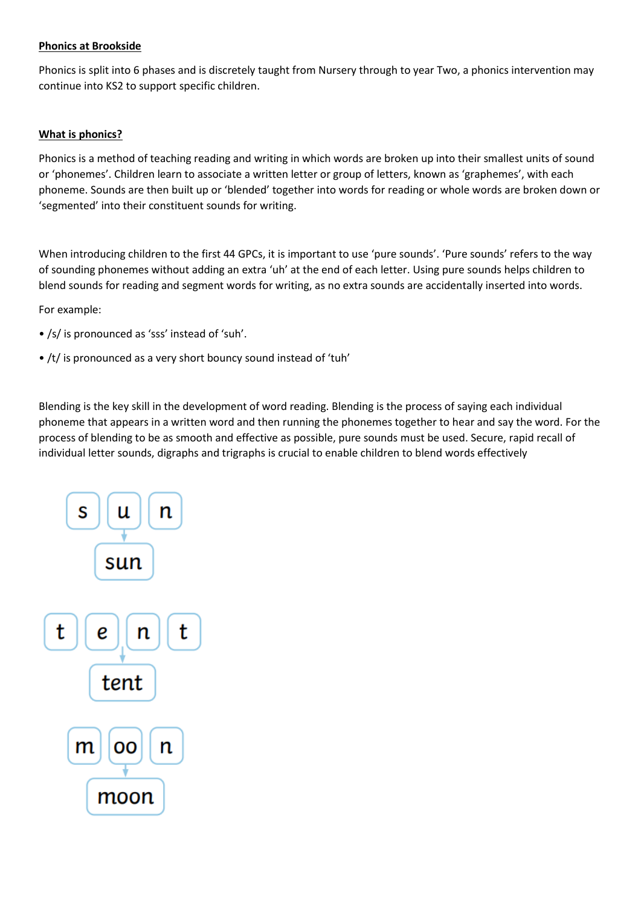## **Phonics at Brookside**

Phonics is split into 6 phases and is discretely taught from Nursery through to year Two, a phonics intervention may continue into KS2 to support specific children.

## **What is phonics?**

Phonics is a method of teaching reading and writing in which words are broken up into their smallest units of sound or 'phonemes'. Children learn to associate a written letter or group of letters, known as 'graphemes', with each phoneme. Sounds are then built up or 'blended' together into words for reading or whole words are broken down or 'segmented' into their constituent sounds for writing.

When introducing children to the first 44 GPCs, it is important to use 'pure sounds'. 'Pure sounds' refers to the way of sounding phonemes without adding an extra 'uh' at the end of each letter. Using pure sounds helps children to blend sounds for reading and segment words for writing, as no extra sounds are accidentally inserted into words.

For example:

- /s/ is pronounced as 'sss' instead of 'suh'.
- /t/ is pronounced as a very short bouncy sound instead of 'tuh'

Blending is the key skill in the development of word reading. Blending is the process of saying each individual phoneme that appears in a written word and then running the phonemes together to hear and say the word. For the process of blending to be as smooth and effective as possible, pure sounds must be used. Secure, rapid recall of individual letter sounds, digraphs and trigraphs is crucial to enable children to blend words effectively

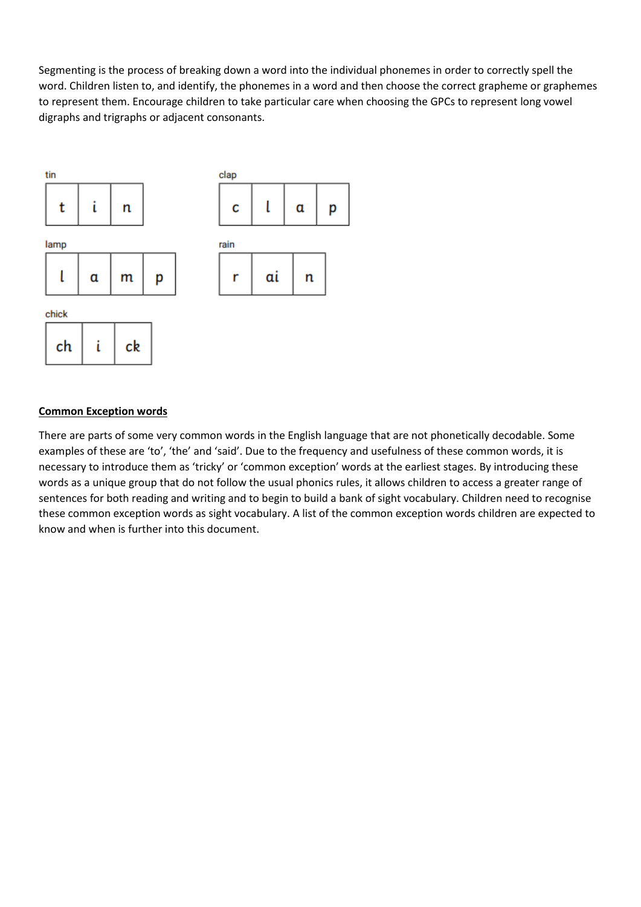Segmenting is the process of breaking down a word into the individual phonemes in order to correctly spell the word. Children listen to, and identify, the phonemes in a word and then choose the correct grapheme or graphemes to represent them. Encourage children to take particular care when choosing the GPCs to represent long vowel digraphs and trigraphs or adjacent consonants.



#### **Common Exception words**

There are parts of some very common words in the English language that are not phonetically decodable. Some examples of these are 'to', 'the' and 'said'. Due to the frequency and usefulness of these common words, it is necessary to introduce them as 'tricky' or 'common exception' words at the earliest stages. By introducing these words as a unique group that do not follow the usual phonics rules, it allows children to access a greater range of sentences for both reading and writing and to begin to build a bank of sight vocabulary. Children need to recognise these common exception words as sight vocabulary. A list of the common exception words children are expected to know and when is further into this document.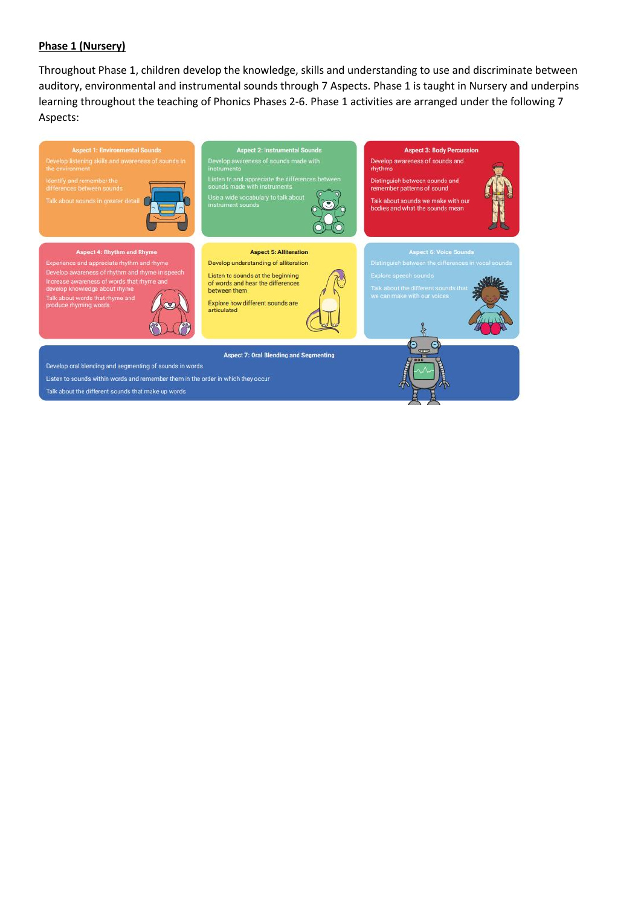### **Phase 1 (Nursery)**

Throughout Phase 1, children develop the knowledge, skills and understanding to use and discriminate between auditory, environmental and instrumental sounds through 7 Aspects. Phase 1 is taught in Nursery and underpins learning throughout the teaching of Phonics Phases 2-6. Phase 1 activities are arranged under the following 7 Aspects:

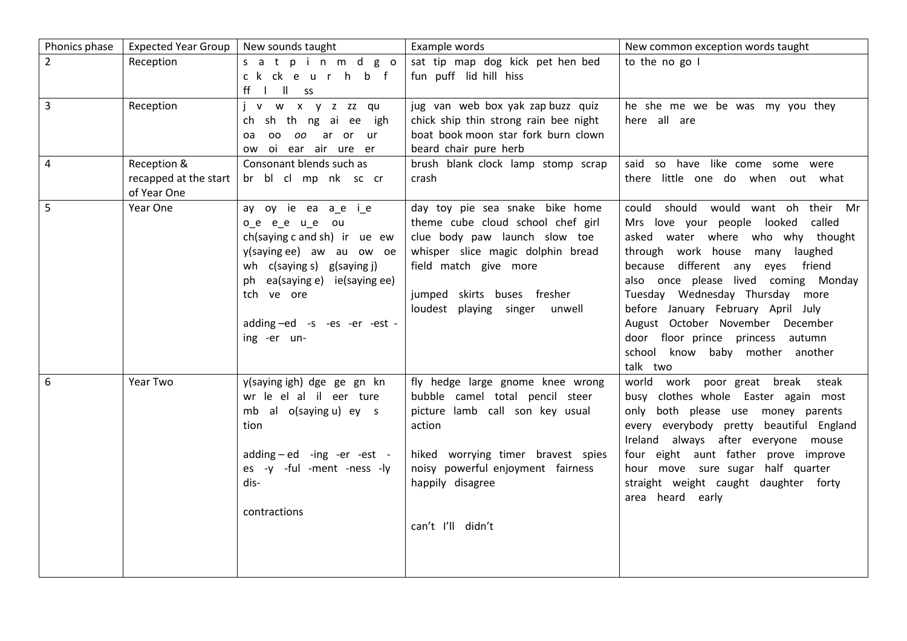| Phonics phase           | <b>Expected Year Group</b>                          | New sounds taught                                                                                                                                                                                                                  | Example words                                                                                                                                                                                                                          | New common exception words taught                                                                                                                                                                                                                                                                                                                                                                                                     |
|-------------------------|-----------------------------------------------------|------------------------------------------------------------------------------------------------------------------------------------------------------------------------------------------------------------------------------------|----------------------------------------------------------------------------------------------------------------------------------------------------------------------------------------------------------------------------------------|---------------------------------------------------------------------------------------------------------------------------------------------------------------------------------------------------------------------------------------------------------------------------------------------------------------------------------------------------------------------------------------------------------------------------------------|
| $\overline{2}$          | Reception                                           | satpinm dgo<br>ckckeurhbf<br>ff      ss                                                                                                                                                                                            | sat tip map dog kick pet hen bed<br>fun puff lid hill hiss                                                                                                                                                                             | to the no go I                                                                                                                                                                                                                                                                                                                                                                                                                        |
| $\overline{\mathbf{3}}$ | Reception                                           | j v w x y z zz qu<br>ch sh th ng ai ee igh<br>00 00 ar or ur<br>oa<br>oi ear air ure er<br>ow                                                                                                                                      | jug van web box yak zap buzz quiz<br>chick ship thin strong rain bee night<br>boat book moon star fork burn clown<br>beard chair pure herb                                                                                             | he she me we be was my you they<br>here all are                                                                                                                                                                                                                                                                                                                                                                                       |
| $\overline{4}$          | Reception &<br>recapped at the start<br>of Year One | Consonant blends such as<br>br bl cl mp nk sc cr                                                                                                                                                                                   | brush blank clock lamp stomp scrap<br>crash                                                                                                                                                                                            | said so have like come some were<br>there little one do when out what                                                                                                                                                                                                                                                                                                                                                                 |
| 5                       | Year One                                            | ay oy ie ea a_e i_e<br>o_e e_e u_e ou<br>ch(saying c and sh) ir ue ew<br>y(saying ee) aw au ow oe<br>wh $c$ (saying s) $g$ (saying j)<br>ph ea(saying e) ie(saying ee)<br>tch ve ore<br>adding-ed -s -es -er -est -<br>ing -er un- | day toy pie sea snake bike home<br>theme cube cloud school chef girl<br>clue body paw launch slow toe<br>whisper slice magic dolphin bread<br>field match give more<br>jumped skirts buses fresher<br>loudest playing singer<br>unwell | should would want oh their Mr<br>could<br>Mrs love your people looked<br>called<br>asked water where who why thought<br>through work house many laughed<br>because different any eyes friend<br>also once please lived coming Monday<br>Tuesday Wednesday Thursday more<br>before January February April July<br>August October November December<br>door floor prince princess autumn<br>school know baby mother another<br>talk two |
| 6                       | Year Two                                            | y(saying igh) dge ge gn kn<br>wr le el al il eer ture<br>mb al o(saying u) ey s<br>tion<br>$adding - ed - ing -er -est -$<br>es -y -ful -ment -ness -ly<br>dis-<br>contractions                                                    | fly hedge large gnome knee wrong<br>bubble camel total pencil steer<br>picture lamb call son key usual<br>action<br>hiked worrying timer bravest spies<br>noisy powerful enjoyment fairness<br>happily disagree<br>can't I'll didn't   | world work poor great break<br>steak<br>busy clothes whole Easter again most<br>only both please use money parents<br>every everybody pretty beautiful England<br>Ireland always after everyone mouse<br>four eight aunt father prove improve<br>hour move sure sugar half quarter<br>straight weight caught daughter forty<br>area heard early                                                                                       |